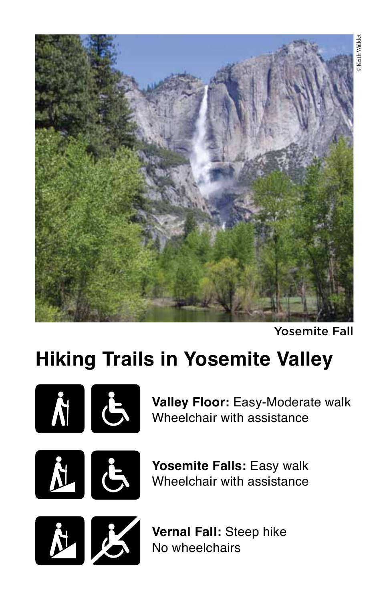

Yosemite Fall

## **Hiking Trails in Yosemite Valley**



**Valley Floor:** Easy-Moderate walk Wheelchair with assistance





**Yosemite Falls:** Easy walk Wheelchair with assistance



**Vernal Fall:** Steep hike No wheelchairs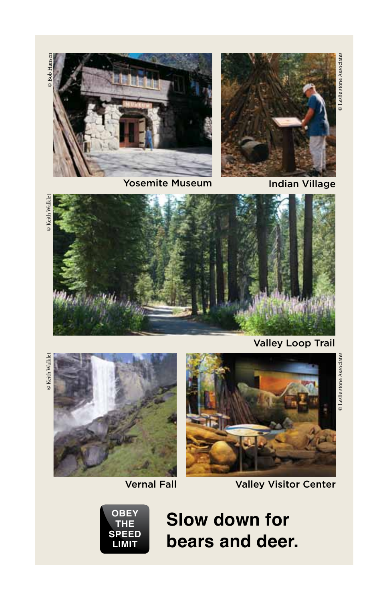© Leslie stone Associates © Leslie stone Associates





Yosemite Museum and Indian Village

Valley Loop Trail

© Leslie stone Associates





Vernal Fall Valley Visitor Center



**Slow down for bears and deer.**

© Keith Walklet © Keith Walklet